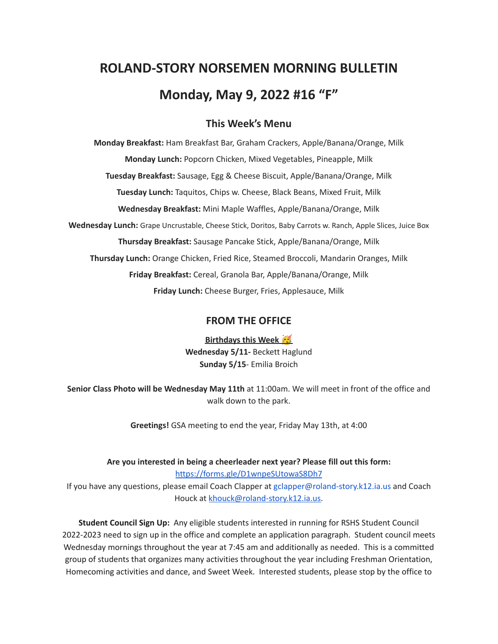# **ROLAND-STORY NORSEMEN MORNING BULLETIN Monday, May 9, 2022 #16 "F"**

# **This Week's Menu**

**Monday Breakfast:** Ham Breakfast Bar, Graham Crackers, Apple/Banana/Orange, Milk **Monday Lunch:** Popcorn Chicken, Mixed Vegetables, Pineapple, Milk **Tuesday Breakfast:** Sausage, Egg & Cheese Biscuit, Apple/Banana/Orange, Milk **Tuesday Lunch:** Taquitos, Chips w. Cheese, Black Beans, Mixed Fruit, Milk **Wednesday Breakfast:** Mini Maple Waffles, Apple/Banana/Orange, Milk **Wednesday Lunch:** Grape Uncrustable, Cheese Stick, Doritos, Baby Carrots w. Ranch, Apple Slices, Juice Box **Thursday Breakfast:** Sausage Pancake Stick, Apple/Banana/Orange, Milk **Thursday Lunch:** Orange Chicken, Fried Rice, Steamed Broccoli, Mandarin Oranges, Milk **Friday Breakfast:** Cereal, Granola Bar, Apple/Banana/Orange, Milk **Friday Lunch:** Cheese Burger, Fries, Applesauce, Milk

# **FROM THE OFFICE**

**Birthdays this Week Wednesday 5/11-** Beckett Haglund **Sunday 5/15**- Emilia Broich

**Senior Class Photo will be Wednesday May 11th** at 11:00am. We will meet in front of the office and walk down to the park.

**Greetings!** GSA meeting to end the year, Friday May 13th, at 4:00

**Are you interested in being a cheerleader next year? Please fill out this form:** <https://forms.gle/D1wnpeSUtowaS8Dh7>

If you have any questions, please email Coach Clapper at gclapper@roland-story.k12.ia.us and Coach Houck at [khouck@roland-story.k12.ia.us.](mailto:khouck@roland-story.k12.ia.us)

**Student Council Sign Up:** Any eligible students interested in running for RSHS Student Council 2022-2023 need to sign up in the office and complete an application paragraph. Student council meets Wednesday mornings throughout the year at 7:45 am and additionally as needed. This is a committed group of students that organizes many activities throughout the year including Freshman Orientation, Homecoming activities and dance, and Sweet Week. Interested students, please stop by the office to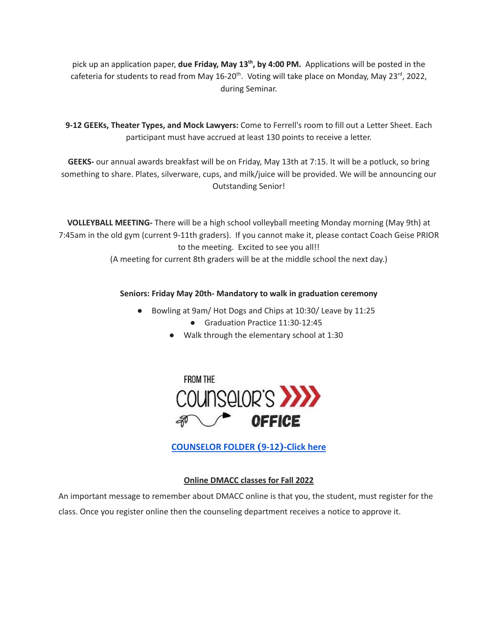pick up an application paper, **due Friday, May 13 th , by 4:00 PM.** Applications will be posted in the cafeteria for students to read from May 16-20<sup>th</sup>. Voting will take place on Monday, May 23<sup>rd</sup>, 2022, during Seminar.

**9-12 GEEKs, Theater Types, and Mock Lawyers:** Come to Ferrell's room to fill out a Letter Sheet. Each participant must have accrued at least 130 points to receive a letter.

**GEEKS-** our annual awards breakfast will be on Friday, May 13th at 7:15. It will be a potluck, so bring something to share. Plates, silverware, cups, and milk/juice will be provided. We will be announcing our Outstanding Senior!

**VOLLEYBALL MEETING-** There will be a high school volleyball meeting Monday morning (May 9th) at 7:45am in the old gym (current 9-11th graders). If you cannot make it, please contact Coach Geise PRIOR to the meeting. Excited to see you all!!

(A meeting for current 8th graders will be at the middle school the next day.)

# **Seniors: Friday May 20th- Mandatory to walk in graduation ceremony**

- Bowling at 9am/ Hot Dogs and Chips at 10:30/ Leave by 11:25
	- Graduation Practice 11:30-12:45
	- Walk through the elementary school at 1:30



**[COUNSELOR FOLDER](https://docs.google.com/document/d/1vmwczNPbDzXe9vFaG5LJMQ7NYDv-i4oQJHybqA65TUc/edit?usp=sharing) (9-12)-Click here**

# **Online DMACC classes for Fall 2022**

An important message to remember about DMACC online is that you, the student, must register for the class. Once you register online then the counseling department receives a notice to approve it.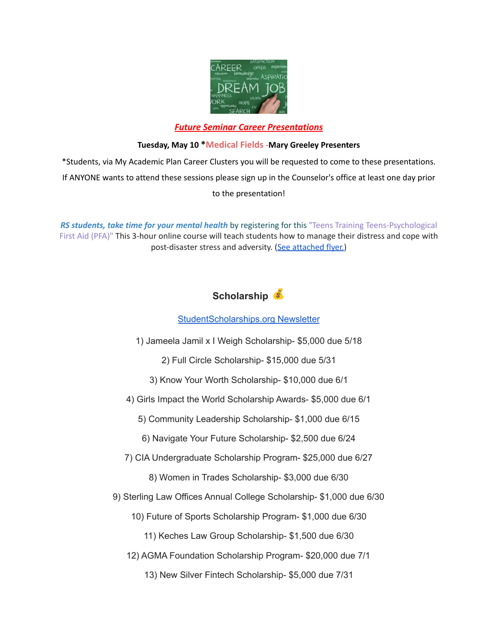

#### *Future Seminar Career Presentations*

#### **Tuesday, May 10 \*Medical Fields -Mary Greeley Presenters**

\*Students, via My Academic Plan Career Clusters you will be requested to come to these presentations. If ANYONE wants to attend these sessions please sign up in the Counselor's office at least one day prior to the presentation!

*RS students, take time for your mental health* by registering for this "Teens Training Teens-Psychological First Aid (PFA)" This 3-hour online course will teach students how to manage their distress and cope with post-disaster stress and adversity. (See [attached](https://drive.google.com/file/d/18ZxsDgb9mTVccDP5AD1ejwqoEi1MNUwE/view?usp=sharing) flyer.)



#### [StudentScholarships.org](https://drive.google.com/file/d/1qEKcx3GVK6vi8DB_QD_Px65Do1Dedcz6/view?usp=sharing) Newsletter

1) Jameela Jamil x I Weigh Scholarship- \$5,000 due 5/18

2) Full Circle Scholarship- \$15,000 due 5/31

3) Know Your Worth Scholarship- \$10,000 due 6/1

4) Girls Impact the World Scholarship Awards- \$5,000 due 6/1

5) Community Leadership Scholarship- \$1,000 due 6/15

6) Navigate Your Future Scholarship- \$2,500 due 6/24

7) CIA Undergraduate Scholarship Program- \$25,000 due 6/27

8) Women in Trades Scholarship- \$3,000 due 6/30

9) Sterling Law Offices Annual College Scholarship- \$1,000 due 6/30

10) Future of Sports Scholarship Program- \$1,000 due 6/30

11) Keches Law Group Scholarship- \$1,500 due 6/30

12) AGMA Foundation Scholarship Program- \$20,000 due 7/1

13) New Silver Fintech Scholarship- \$5,000 due 7/31